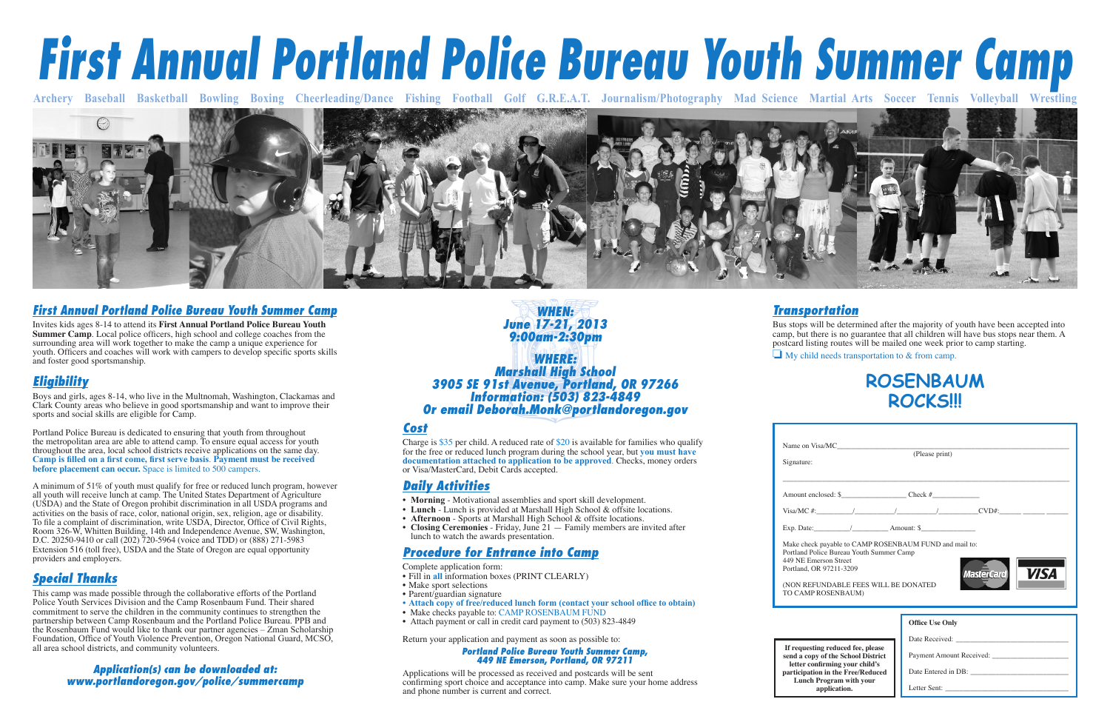*WHEN: June 17-21, 2013 9:00am-2:30pm*

#### *WHERE:***Marshall High School** *Marshall High School 3905 SE 91st Avenue, Portland, OR 97266 Information: (503) 823-4849 Or email Deborah.Monk@portlandoregon.gov*

#### *First Annual Portland Police Bureau Youth Summer Camp*

Portland Police Bureau is dedicated to ensuring that youth from throughout the metropolitan area are able to attend camp. To ensure equal access for youth throughout the area, local school districts receive applications on the same day. Camp is filled on a first come, first serve basis. Payment must be received **before placement can occur.** Space is limited to 500 campers.

Invites kids ages 8-14 to attend its **First Annual Portland Police Bureau Youth Summer Camp**. Local police officers, high school and college coaches from the surrounding area will work together to make the camp a unique experience for youth. Officers and coaches will work with campers to develop specific sports skills and foster good sportsmanship.

### *Eligibility*

Boys and girls, ages 8-14, who live in the Multnomah, Washington, Clackamas and Clark County areas who believe in good sportsmanship and want to improve their sports and social skills are eligible for Camp.

A minimum of 51% of youth must qualify for free or reduced lunch program, however all youth will receive lunch at camp. The United States Department of Agriculture (USDA) and the State of Oregon prohibit discrimination in all USDA programs and activities on the basis of race, color, national origin, sex, religion, age or disability. To file a complaint of discrimination, write USDA, Director, Office of Civil Rights, Room 326-W, Whitten Building, 14th and Independence Avenue, SW, Washington, D.C. 20250-9410 or call (202) 720-5964 (voice and TDD) or (888) 271-5983 Extension 516 (toll free), USDA and the State of Oregon are equal opportunity providers and employers.

#### *Special Thanks*

This camp was made possible through the collaborative efforts of the Portland Police Youth Services Division and the Camp Rosenbaum Fund. Their shared commitment to serve the children in the community continues to strengthen the partnership between Camp Rosenbaum and the Portland Police Bureau. PPB and the Rosenbaum Fund would like to thank our partner agencies – Zman Scholarship Foundation, Office of Youth Violence Prevention, Oregon National Guard, MCSO, all area school districts, and community volunteers.

Exp. Date:

Make checl Portland Po 449 NE Em Portland, O

(NON REF TO CAMP

**If request** send a cop **letter** co participati **Lunch** 

*Application(s) can be downloaded at: www.portlandoregon.gov/police/summercamp*

#### *Cost*

Charge is \$35 per child. A reduced rate of \$20 is available for families who qualify for the free or reduced lunch program during the school year, but **you must have documentation attached to application to be approved**. Checks, money orders or Visa/MasterCard, Debit Cards accepted.

#### *Daily Activities*

- **Morning** Motivational assemblies and sport skill development.
- Lunch Lunch is provided at Marshall High School & offsite locations.
- **Afternoon** Sports at Marshall High School & offsite locations.
- **Closing Ceremonies** Friday, June 21 Family members are invited after lunch to watch the awards presentation.

#### *Procedure for Entrance into Camp*

Complete application form:

- Fill in **all** information boxes (PRINT CLEARLY)
- Make sport selections
- Parent/guardian signature
- Attach copy of free/reduced lunch form (contact your school office to obtain)
- Make checks payable to: CAMP ROSENBAUM FUND
- Attach payment or call in credit card payment to (503) 823-4849

Return your application and payment as soon as possible to:

## *Portland Police Bureau Youth Summer Camp, 449 NE Emerson, Portland, OR 97211*

Applications will be processed as received and postcards will be sent confirming sport choice and acceptance into camp. Make sure your home address and phone number is current and correct.

# *First Annual Portland Police Bureau Youth Summer Camp*





#### *Transportation*

Bus stops will be determined after the majority of youth have been accepted into camp, but there is no guarantee that all children will have bus stops near them. A postcard listing routes will be mailed one week prior to camp starting.

❏ My child needs transportation to & from camp.

| Name on Visa/MC<br>Signature:                                                                                                                                                                                        | (Please print)         |                                                 |
|----------------------------------------------------------------------------------------------------------------------------------------------------------------------------------------------------------------------|------------------------|-------------------------------------------------|
|                                                                                                                                                                                                                      |                        |                                                 |
|                                                                                                                                                                                                                      |                        |                                                 |
| Exp. Date: $\angle$ Amount: \$                                                                                                                                                                                       |                        |                                                 |
| Make check payable to CAMP ROSENBAUM FUND and mail to:<br>Portland Police Bureau Youth Summer Camp<br>449 NE Emerson Street<br>Portland, OR 97211-3209<br>(NON REFUNDABLE FEES WILL BE DONATED<br>TO CAMP ROSENBAUM) |                        | <i>VISA</i><br><b>MasterCard</b>                |
|                                                                                                                                                                                                                      | <b>Office Use Only</b> |                                                 |
| If requesting reduced fee, please<br>send a copy of the School District<br>letter confirming your child's<br>participation in the Free/Reduced<br><b>Lunch Program with your</b><br>application.                     |                        | Payment Amount Received:<br>Date Entered in DB: |

# **ROSENBAUM ROCKS!!!**